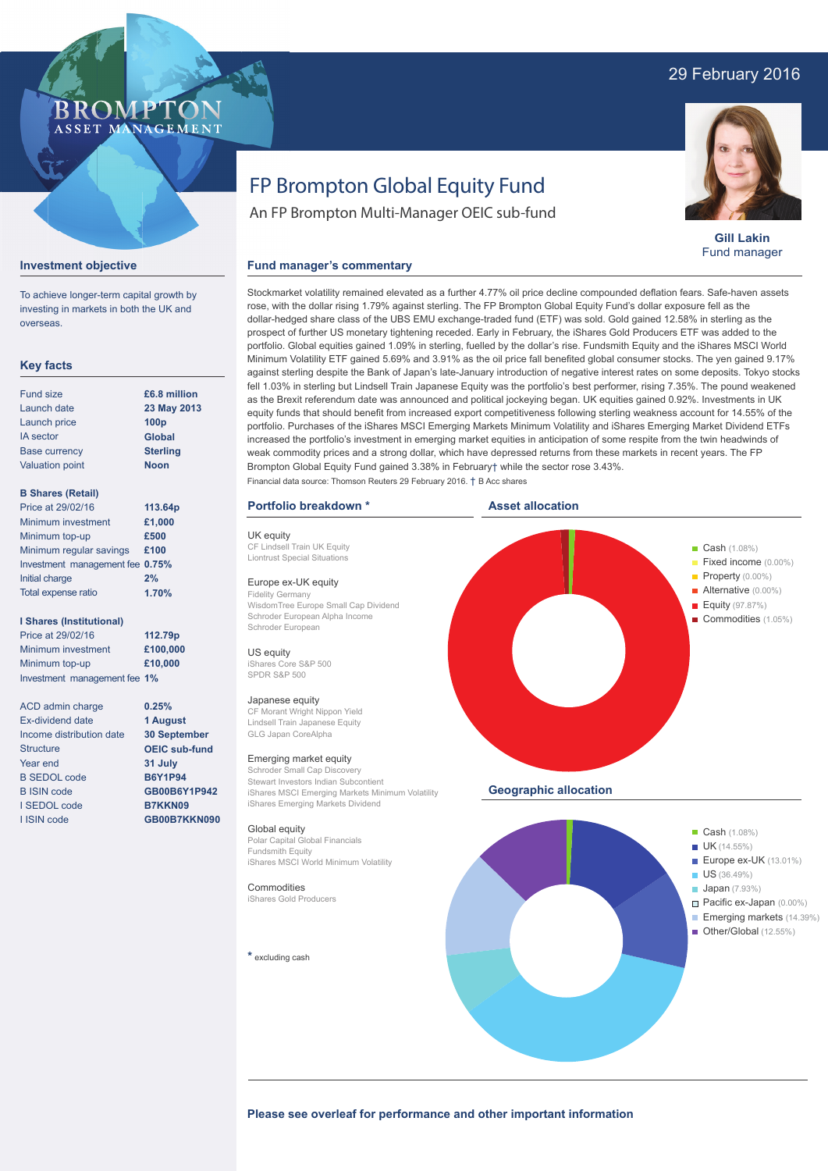### 29 February 2016

### **BROMPTO** ASSET MANAGEMENT

**Gill Lakin** Fund manager

#### **Investment objective**

To achieve longer-term capital growth by investing in markets in both the UK and overseas.

### **Key facts**

| <b>Fund size</b>       | £6.8 million     |
|------------------------|------------------|
| Launch date            | 23 May 2013      |
| Launch price           | 100 <sub>p</sub> |
| <b>IA</b> sector       | <b>Global</b>    |
| <b>Base currency</b>   | <b>Sterling</b>  |
| <b>Valuation point</b> | <b>Noon</b>      |
|                        |                  |

### **B Shares (Retail)**

| Price at 29/02/16               | 113.64p |
|---------------------------------|---------|
| Minimum investment              | £1,000  |
| Minimum top-up                  | £500    |
| Minimum regular savings         | £100    |
| Investment management fee 0.75% |         |
| Initial charge                  | 2%      |
| Total expense ratio             | 1.70%   |

#### **I Shares (Institutional)**

Price at 29/02/16 Minimum investment Minimum top-up Investment management fee **1% 112.79p £100,000 £10,000**

> **0.25% 1 August 30 September OEIC sub-fund 31 July B6Y1P94 GB00B6Y1P942 B7KKN09 GB00B7KKN090**

ACD admin charge Ex-dividend date Income distribution date **Structure** Year end B SEDOL code B ISIN code I SEDOL code I ISIN code

# FP Brompton Global Equity Fund

An FP Brompton Multi-Manager OEIC sub-fund

#### **Fund manager's commentary**

Stockmarket volatility remained elevated as a further 4.77% oil price decline compounded deflation fears. Safe-haven assets rose, with the dollar rising 1.79% against sterling. The FP Brompton Global Equity Fund's dollar exposure fell as the dollar-hedged share class of the UBS EMU exchange-traded fund (ETF) was sold. Gold gained 12.58% in sterling as the prospect of further US monetary tightening receded. Early in February, the iShares Gold Producers ETF was added to the portfolio. Global equities gained 1.09% in sterling, fuelled by the dollar's rise. Fundsmith Equity and the iShares MSCI World Minimum Volatility ETF gained 5.69% and 3.91% as the oil price fall benefited global consumer stocks. The yen gained 9.17% against sterling despite the Bank of Japan's late-January introduction of negative interest rates on some deposits. Tokyo stocks fell 1.03% in sterling but Lindsell Train Japanese Equity was the portfolio's best performer, rising 7.35%. The pound weakened as the Brexit referendum date was announced and political jockeying began. UK equities gained 0.92%. Investments in UK equity funds that should benefit from increased export competitiveness following sterling weakness account for 14.55% of the portfolio. Purchases of the iShares MSCI Emerging Markets Minimum Volatility and iShares Emerging Market Dividend ETFs increased the portfolio's investment in emerging market equities in anticipation of some respite from the twin headwinds of weak commodity prices and a strong dollar, which have depressed returns from these markets in recent years. The FP Brompton Global Equity Fund gained 3.38% in February† while the sector rose 3.43%. Financial data source: Thomson Reuters 29 February 2016. † B Acc shares

#### **Portfolio breakdown \***

UK equity CF Lindsell Train UK Equity Liontrust Special Situations

#### Europe ex-UK equity

Fidelity Germany WisdomTree Europe Small Cap Dividend Schroder European Alpha Income Schroder European

US equity iShares Core S&P 500 SPDR S&P 500

#### Japanese equity

CF Morant Wright Nippon Yield Lindsell Train Japanese Equity GLG Japan CoreAlpha

#### Emerging market equity

Schroder Small Cap Discovery Stewart Investors Indian Subcontient iShares MSCI Emerging Markets Minimum Volatility iShares Emerging Markets Dividend

#### Global equity

Polar Capital Global Financials Fundsmith Equity iShares MSCI World Minimum Volatility

#### Commodities

iShares Gold Producers

**\*** excluding cash





Please see overleaf for performance and other important information